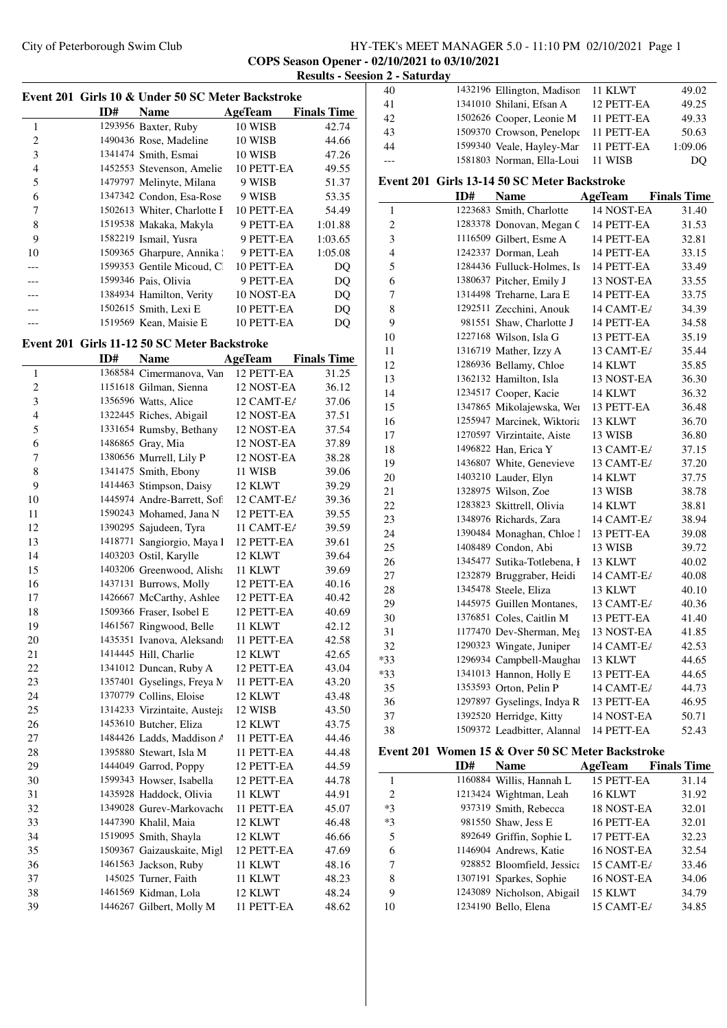# City of Peterborough Swim Club HY-TEK's MEET MANAGER 5.0 - 11:10 PM 02/10/2021 Page 1 **COPS Season Opener - 02/10/2021 to 03/10/2021 Results - Seesion 2 - Saturday**

|                         |     | Event 201 Girls 10 & Under 50 SC Meter Backstroke |            |                    |
|-------------------------|-----|---------------------------------------------------|------------|--------------------|
|                         | ID# | <b>Name</b>                                       | AgeTeam    | <b>Finals Time</b> |
| 1                       |     | 1293956 Baxter, Ruby                              | 10 WISB    | 42.74              |
| $\overline{\mathbf{c}}$ |     | 1490436 Rose, Madeline                            | 10 WISB    | 44.66              |
| 3                       |     | 1341474 Smith, Esmai                              | 10 WISB    | 47.26              |
| 4                       |     | 1452553 Stevenson, Amelie                         | 10 PETT-EA | 49.55              |
| 5                       |     | 1479797 Melinyte, Milana                          | 9 WISB     | 51.37              |
| 6                       |     | 1347342 Condon, Esa-Rose                          | 9 WISB     | 53.35              |
| 7                       |     | 1502613 Whiter, Charlotte F                       | 10 PETT-EA | 54.49              |
| 8                       |     | 1519538 Makaka, Makyla                            | 9 PETT-EA  | 1:01.88            |
| 9                       |     | 1582219 Ismail, Yusra                             | 9 PETT-EA  | 1:03.65            |
| 10                      |     | 1509365 Gharpure, Annika !                        | 9 PETT-EA  | 1:05.08            |
| ---                     |     | 1599353 Gentile Micoud, Cl                        | 10 PETT-EA | DQ                 |
|                         |     | 1599346 Pais, Olivia                              | 9 PETT-EA  | DQ                 |
|                         |     | 1384934 Hamilton, Verity                          | 10 NOST-EA | DQ                 |
| ---                     |     | 1502615 Smith, Lexi E                             | 10 PETT-EA | DQ                 |
| ---                     |     | 1519569 Kean, Maisie E                            | 10 PETT-EA | DQ                 |
|                         |     | Event 201 Girls 11-12 50 SC Meter Backstroke      |            |                    |
|                         | ID# | <b>Name</b>                                       | AgeTeam    | <b>Finals Time</b> |
| 1                       |     | 1368584 Cimermanova, Van                          | 12 PETT-EA | 31.25              |
| $\overline{c}$          |     | 1151618 Gilman, Sienna                            | 12 NOST-EA | 36.12              |
| 3                       |     | 1356596 Watts, Alice                              | 12 CAMT-E/ | 37.06              |
| $\overline{4}$          |     | 1322445 Riches, Abigail                           | 12 NOST-EA | 37.51              |
| 5                       |     | 1331654 Rumsby, Bethany                           | 12 NOST-EA | 37.54              |
| 6                       |     | 1486865 Gray, Mia                                 | 12 NOST-EA | 37.89              |
| 7                       |     | 1380656 Murrell, Lily P                           | 12 NOST-EA | 38.28              |
| 8                       |     | 1341475 Smith, Ebony                              | 11 WISB    | 39.06              |
| 9                       |     | 1414463 Stimpson, Daisy                           | 12 KLWT    | 39.29              |
| 10                      |     | 1445974 Andre-Barrett, Sofi                       | 12 CAMT-E/ | 39.36              |
| 11                      |     | 1590243 Mohamed, Jana N                           | 12 PETT-EA | 39.55              |
| 12                      |     | 1390295 Sajudeen, Tyra                            | 11 CAMT-E/ | 39.59              |
| 13                      |     | 1418771 Sangiorgio, Maya I                        | 12 PETT-EA | 39.61              |
| 14                      |     | 1403203 Ostil, Karylle                            | 12 KLWT    | 39.64              |
| 15                      |     | 1403206 Greenwood, Alisha                         | 11 KLWT    | 39.69              |
| 16                      |     | 1437131 Burrows, Molly                            | 12 PETT-EA | 40.16              |
| 17                      |     | 1426667 McCarthy, Ashlee                          | 12 PETT-EA | 40.42              |
| 18                      |     | 1509366 Fraser, Isobel E                          | 12 PETT-EA | 40.69              |
| 19                      |     | 1461567 Ringwood, Belle                           | 11 KLWT    | 42.12              |
| 20                      |     | 1435351 Ivanova, Aleksandı                        | 11 PETT-EA | 42.58              |
| 21                      |     | 1414445 Hill, Charlie                             | 12 KLWT    | 42.65              |
| 22                      |     | 1341012 Duncan, Ruby A                            | 12 PETT-EA | 43.04              |
| 23                      |     | 1357401 Gyselings, Freya N                        | 11 PETT-EA | 43.20              |
| 24                      |     | 1370779 Collins, Eloise                           | 12 KLWT    | 43.48              |
| 25                      |     | 1314233 Virzintaite, Austeja                      | 12 WISB    | 43.50              |
| 26                      |     | 1453610 Butcher, Eliza                            | 12 KLWT    | 43.75              |
| 27                      |     | 1484426 Ladds, Maddison A                         | 11 PETT-EA | 44.46              |
| 28                      |     | 1395880 Stewart, Isla M                           | 11 PETT-EA | 44.48              |
| 29                      |     | 1444049 Garrod, Poppy                             | 12 PETT-EA | 44.59              |
| 30                      |     | 1599343 Howser, Isabella                          | 12 PETT-EA | 44.78              |
| 31                      |     | 1435928 Haddock, Olivia                           | 11 KLWT    | 44.91              |
| 32                      |     | 1349028 Gurev-Markovache                          | 11 PETT-EA | 45.07              |
| 33                      |     | 1447390 Khalil, Maia                              | 12 KLWT    | 46.48              |
| 34                      |     | 1519095 Smith, Shayla                             | 12 KLWT    | 46.66              |
| 35                      |     | 1509367 Gaizauskaite, Migl                        | 12 PETT-EA | 47.69              |
| 36                      |     | 1461563 Jackson, Ruby                             | 11 KLWT    | 48.16              |
| 37                      |     | 145025 Turner, Faith                              | 11 KLWT    | 48.23              |
| 38                      |     | 1461569 Kidman, Lola                              | 12 KLWT    | 48.24              |
| 39                      |     | 1446267 Gilbert, Molly M                          | 11 PETT-EA | 48.62              |
|                         |     |                                                   |            |                    |

| 40             |     | 1432196 Ellington, Madison                       | 11 KLWT                  | 49.02              |
|----------------|-----|--------------------------------------------------|--------------------------|--------------------|
| 41             |     | 1341010 Shilani, Efsan A                         | 12 PETT-EA               | 49.25              |
| 42             |     | 1502626 Cooper, Leonie M                         | 11 PETT-EA               | 49.33              |
| 43             |     | 1509370 Crowson, Penelope                        | 11 PETT-EA               | 50.63              |
| 44             |     | 1599340 Veale, Hayley-Mari                       | 11 PETT-EA               | 1:09.06            |
| $---$          |     | 1581803 Norman, Ella-Loui                        | 11 WISB                  | DQ                 |
|                |     |                                                  |                          |                    |
|                |     | Event 201 Girls 13-14 50 SC Meter Backstroke     |                          |                    |
|                | ID# | <b>Name</b>                                      | AgeTeam                  | <b>Finals Time</b> |
| $\mathbf{1}$   |     | 1223683 Smith, Charlotte                         | 14 NOST-EA               | 31.40              |
| $\overline{c}$ |     | 1283378 Donovan, Megan C                         | 14 PETT-EA               | 31.53              |
| 3              |     | 1116509 Gilbert, Esme A                          | 14 PETT-EA               | 32.81              |
| 4              |     | 1242337 Dorman, Leah                             | 14 PETT-EA               | 33.15              |
| 5              |     | 1284436 Fulluck-Holmes, Is                       | 14 PETT-EA               | 33.49              |
| 6              |     | 1380637 Pitcher, Emily J                         | 13 NOST-EA               | 33.55              |
| 7              |     | 1314498 Treharne, Lara E                         | 14 PETT-EA               | 33.75              |
| 8              |     | 1292511 Zecchini, Anouk                          | 14 CAMT-E/               | 34.39              |
| 9              |     | 981551 Shaw, Charlotte J                         | 14 PETT-EA               | 34.58              |
| 10             |     | 1227168 Wilson, Isla G                           | 13 PETT-EA               | 35.19              |
| 11             |     | 1316719 Mather, Izzy A                           | 13 CAMT-E/               | 35.44              |
| 12             |     | 1286936 Bellamy, Chloe                           | 14 KLWT                  | 35.85              |
| 13             |     | 1362132 Hamilton, Isla                           | 13 NOST-EA               | 36.30              |
| 14             |     | 1234517 Cooper, Kacie                            | 14 KLWT                  | 36.32              |
| 15             |     | 1347865 Mikolajewska, Wei                        | 13 PETT-EA               | 36.48              |
| 16             |     | 1255947 Marcinek, Wiktoria                       | 13 KLWT                  | 36.70              |
| 17             |     | 1270597 Virzintaite, Aiste                       | 13 WISB                  | 36.80              |
| 18             |     | 1496822 Han, Erica Y                             | 13 CAMT-E/               | 37.15              |
| 19             |     | 1436807 White, Genevieve                         | 13 CAMT-E/               | 37.20              |
| 20             |     | 1403210 Lauder, Elyn                             | 14 KLWT                  | 37.75              |
| 21             |     | 1328975 Wilson, Zoe                              | 13 WISB                  | 38.78              |
| 22             |     | 1283823 Skittrell, Olivia                        | 14 KLWT                  | 38.81              |
| 23             |     | 1348976 Richards, Zara                           | 14 CAMT-E/               | 38.94              |
| 24             |     | 1390484 Monaghan, Chloe l                        | 13 PETT-EA               | 39.08              |
| 25             |     | 1408489 Condon, Abi                              | 13 WISB                  | 39.72              |
| 26             |     | 1345477 Sutika-Totlebena, I                      | 13 KLWT                  | 40.02              |
| 27             |     | 1232879 Bruggraber, Heidi                        | 14 CAMT-E/               | 40.08              |
| 28             |     | 1345478 Steele, Eliza                            | 13 KLWT                  | 40.10              |
| 29             |     | 1445975 Guillen Montanes,                        | 13 CAMT-E/               | 40.36              |
| 30             |     | 1376851 Coles, Caitlin M                         | 13 PETT-EA               | 41.40              |
| 31             |     | 1177470 Dev-Sherman, Meg                         | 13 NOST-EA               | 41.85              |
| 32             |     | 1290323 Wingate, Juniper                         | 14 CAMT-E/               | 42.53              |
| $*33$          |     | 1296934 Campbell-Maughai                         | 13 KLWT                  | 44.65              |
| *33            |     | 1341013 Hannon, Holly E                          | 13 PETT-EA               | 44.65              |
| 35             |     | 1353593 Orton, Pelin P                           | 14 CAMT-E/               | 44.73              |
| 36             |     | 1297897 Gyselings, Indya R                       | 13 PETT-EA               | 46.95              |
| 37             |     | 1392520 Herridge, Kitty                          | 14 NOST-EA               | 50.71              |
| 38             |     | 1509372 Leadbitter, Alannal                      | 14 PETT-EA               | 52.43              |
|                |     | Event 201 Women 15 & Over 50 SC Meter Backstroke |                          |                    |
|                | ID# | <b>Name</b>                                      | <b>AgeTeam</b>           | <b>Finals Time</b> |
|                |     |                                                  |                          |                    |
| 1              |     | 1160884 Willis, Hannah L                         | 15 PETT-EA               | 31.14              |
| $\overline{c}$ |     | 1213424 Wightman, Leah                           | 16 KLWT                  | 31.92              |
| $*3$<br>$*3$   |     | 937319 Smith, Rebecca                            | 18 NOST-EA               | 32.01              |
|                |     | 981550 Shaw, Jess E                              | 16 PETT-EA               | 32.01              |
| 5              |     | 892649 Griffin, Sophie L                         | 17 PETT-EA               | 32.23              |
| 6<br>7         |     | 1146904 Andrews, Katie                           | 16 NOST-EA<br>15 CAMT-E/ | 32.54              |
|                |     | 928852 Bloomfield, Jessica                       |                          | 33.46              |

928852 Bloomfield, Jessica 15 CAMT-E/ 33.46

8 1307191 Sparkes, Sophie 16 NOST-EA 34.06<br>9 1243089 Nicholson, Abigail 15 KLWT 34.79 1243089 Nicholson, Abigail 15 KLWT 10 1234190 Bello, Elena 15 CAMT-E<sub>l</sub> 34.85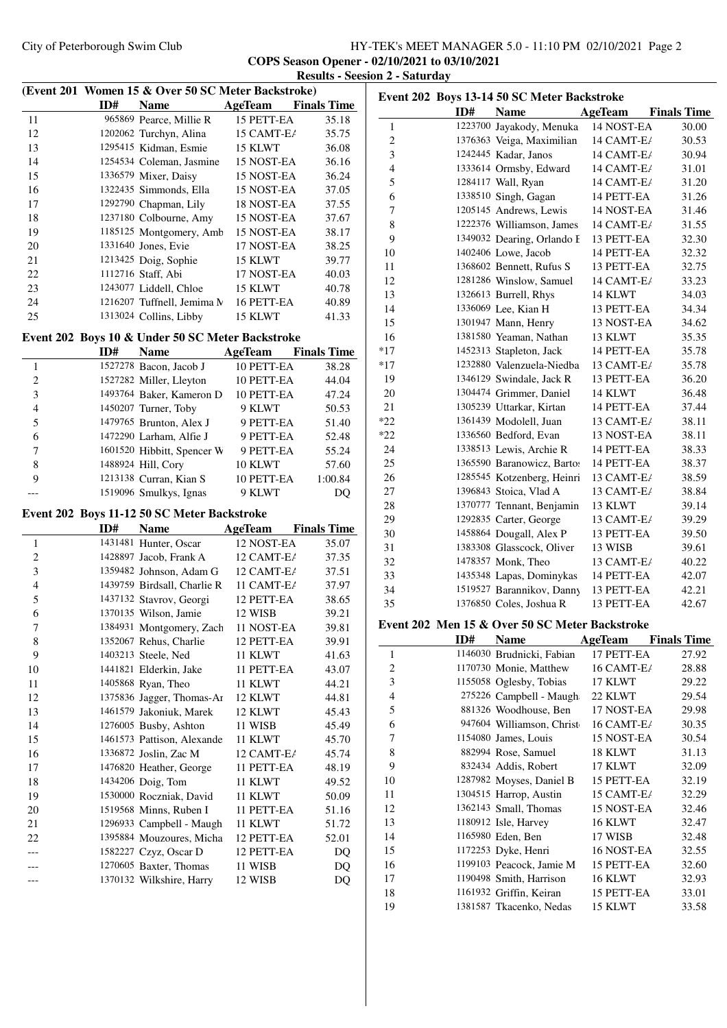### City of Peterborough Swim Club HY-TEK's MEET MANAGER 5.0 - 11:10 PM 02/10/2021 Page 2 **COPS Season Opener - 02/10/2021 to 03/10/2021 Results - Seesion 2 - Saturday**

|                         |     | (Event 201 Women 15 & Over 50 SC Meter Backstroke) |            |                    |
|-------------------------|-----|----------------------------------------------------|------------|--------------------|
|                         | ID# | Name                                               | AgeTeam    | <b>Finals Time</b> |
| 11                      |     | 965869 Pearce, Millie R                            | 15 PETT-EA | 35.18              |
| 12                      |     | 1202062 Turchyn, Alina                             | 15 CAMT-E/ | 35.75              |
| 13                      |     | 1295415 Kidman, Esmie                              | 15 KLWT    | 36.08              |
| 14                      |     | 1254534 Coleman, Jasmine                           | 15 NOST-EA | 36.16              |
| 15                      |     | 1336579 Mixer, Daisy                               | 15 NOST-EA | 36.24              |
| 16                      |     | 1322435 Simmonds, Ella                             | 15 NOST-EA | 37.05              |
| 17                      |     | 1292790 Chapman, Lily                              | 18 NOST-EA | 37.55              |
| 18                      |     | 1237180 Colbourne, Amy                             | 15 NOST-EA | 37.67              |
| 19                      |     | 1185125 Montgomery, Amb                            | 15 NOST-EA | 38.17              |
| 20                      |     | 1331640 Jones, Evie                                | 17 NOST-EA | 38.25              |
| 21                      |     | 1213425 Doig, Sophie                               | 15 KLWT    | 39.77              |
| 22                      |     | 1112716 Staff, Abi                                 | 17 NOST-EA | 40.03              |
| 23                      |     | 1243077 Liddell, Chloe                             | 15 KLWT    | 40.78              |
| 24                      |     | 1216207 Tuffnell, Jemima N                         | 16 PETT-EA | 40.89              |
| 25                      |     | 1313024 Collins, Libby                             | 15 KLWT    | 41.33              |
|                         |     | Event 202 Boys 10 & Under 50 SC Meter Backstroke   |            |                    |
|                         | ID# | <b>Name</b>                                        | AgeTeam    | <b>Finals Time</b> |
| 1                       |     | 1527278 Bacon, Jacob J                             | 10 PETT-EA | 38.28              |
| 2                       |     | 1527282 Miller, Lleyton                            | 10 PETT-EA | 44.04              |
| 3                       |     | 1493764 Baker, Kameron D                           | 10 PETT-EA | 47.24              |
| $\overline{4}$          |     | 1450207 Turner, Toby                               | 9 KLWT     | 50.53              |
| 5                       |     | 1479765 Brunton, Alex J                            | 9 PETT-EA  | 51.40              |
| 6                       |     | 1472290 Larham, Alfie J                            | 9 PETT-EA  | 52.48              |
| 7                       |     | 1601520 Hibbitt, Spencer W                         | 9 PETT-EA  | 55.24              |
| 8                       |     | 1488924 Hill, Cory                                 | 10 KLWT    | 57.60              |
| 9                       |     | 1213138 Curran, Kian S                             | 10 PETT-EA | 1:00.84            |
|                         |     | 1519096 Smulkys, Ignas                             | 9 KLWT     | DQ                 |
|                         |     | Event 202 Boys 11-12 50 SC Meter Backstroke        |            |                    |
|                         | ID# | <b>Name</b>                                        | AgeTeam    | <b>Finals Time</b> |
| 1                       |     | 1431481 Hunter, Oscar                              | 12 NOST-EA | 35.07              |
| $\overline{\mathbf{c}}$ |     | 1428897 Jacob, Frank A                             | 12 CAMT-E/ | 37.35              |
| 3                       |     | 1359482 Johnson, Adam G                            | 12 CAMT-E/ | 37.51              |
| $\overline{4}$          |     | 1439759 Birdsall, Charlie R                        | 11 CAMT-E/ | 37.97              |
| 5                       |     | 1437132 Stavrov, Georgi                            | 12 PETT-EA | 38.65              |
| 6                       |     | 1370135 Wilson, Jamie                              | 12 WISB    | 39.21              |
| 7                       |     | 1384931 Montgomery, Zach                           | 11 NOST-EA | 39.81              |
| 8                       |     | 1352067 Rehus, Charlie                             | 12 PETT-EA | 39.91              |
| 9                       |     | 1403213 Steele, Ned                                | 11 KLWT    | 41.63              |
| 10                      |     | 1441821 Elderkin, Jake                             | 11 PETT-EA | 43.07              |
| 11                      |     | 1405868 Ryan, Theo                                 | 11 KLWT    | 44.21              |
| 12                      |     | 1375836 Jagger, Thomas-Ar                          | 12 KLWT    | 44.81              |
| 13                      |     | 1461579 Jakoniuk, Marek                            | 12 KLWT    | 45.43              |
| 14                      |     | 1276005 Busby, Ashton                              | 11 WISB    | 45.49              |
| 15                      |     | 1461573 Pattison, Alexande                         | 11 KLWT    | 45.70              |
| 16                      |     | 1336872 Joslin, Zac M                              | 12 CAMT-E/ | 45.74              |
| 17                      |     | 1476820 Heather, George                            | 11 PETT-EA | 48.19              |
| 18                      |     | 1434206 Doig, Tom                                  | 11 KLWT    | 49.52              |
| 19                      |     | 1530000 Roczniak, David                            | 11 KLWT    | 50.09              |
| 20                      |     | 1519568 Minns, Ruben I                             | 11 PETT-EA | 51.16              |
| 21                      |     | 1296933 Campbell - Maugh                           | 11 KLWT    | 51.72              |
| 22                      |     | 1395884 Mouzoures, Micha                           | 12 PETT-EA | 52.01              |
| ---                     |     | 1582227 Czyz, Oscar D                              | 12 PETT-EA | DQ                 |
| ---                     |     | 1270605 Baxter, Thomas                             | 11 WISB    | DQ                 |
|                         |     | 1370132 Wilkshire, Harry                           | 12 WISB    | DQ                 |

|                |     | Event 202 Boys 13-14 50 SC Meter Backstroke    |                          |                    |
|----------------|-----|------------------------------------------------|--------------------------|--------------------|
|                | ID# | <b>Name</b>                                    | AgeTeam                  | <b>Finals Time</b> |
| 1              |     | 1223700 Jayakody, Menuka                       | 14 NOST-EA               | 30.00              |
| 2              |     | 1376363 Veiga, Maximilian                      | 14 CAMT-E/               | 30.53              |
| 3              |     | 1242445 Kadar, Janos                           | 14 CAMT-E/               | 30.94              |
| $\overline{4}$ |     | 1333614 Ormsby, Edward                         | 14 CAMT-E/               | 31.01              |
| 5              |     | 1284117 Wall, Ryan                             | 14 CAMT-E/               | 31.20              |
| 6              |     | 1338510 Singh, Gagan                           | 14 PETT-EA               | 31.26              |
| 7              |     | 1205145 Andrews, Lewis                         | 14 NOST-EA               | 31.46              |
| 8              |     | 1222376 Williamson, James                      | 14 CAMT-E/               | 31.55              |
| 9              |     | 1349032 Dearing, Orlando F                     | 13 PETT-EA               | 32.30              |
| 10             |     | 1402406 Lowe, Jacob                            | 14 PETT-EA               | 32.32              |
| 11             |     | 1368602 Bennett, Rufus S                       | 13 PETT-EA               | 32.75              |
| 12             |     | 1281286 Winslow, Samuel                        | 14 CAMT-E/               | 33.23              |
| 13             |     | 1326613 Burrell, Rhys                          | 14 KLWT                  | 34.03              |
| 14             |     | 1336069 Lee, Kian H                            | 13 PETT-EA               | 34.34              |
| 15             |     | 1301947 Mann, Henry                            | 13 NOST-EA               | 34.62              |
| 16             |     | 1381580 Yeaman, Nathan                         | 13 KLWT                  | 35.35              |
| $*17$          |     | 1452313 Stapleton, Jack                        | 14 PETT-EA               | 35.78              |
| $*17$          |     | 1232880 Valenzuela-Niedba                      | 13 CAMT-E/               | 35.78              |
| 19             |     | 1346129 Swindale, Jack R                       | 13 PETT-EA               | 36.20              |
| 20             |     | 1304474 Grimmer, Daniel                        | 14 KLWT                  | 36.48              |
| 21             |     | 1305239 Uttarkar, Kirtan                       | 14 PETT-EA               | 37.44              |
| *22            |     | 1361439 Modolell, Juan                         | 13 CAMT-E/               | 38.11              |
| $*22$          |     | 1336560 Bedford, Evan                          | 13 NOST-EA               | 38.11              |
| 24             |     | 1338513 Lewis, Archie R                        | 14 PETT-EA               | 38.33              |
| 25             |     | 1365590 Baranowicz, Bartos                     | 14 PETT-EA               | 38.37              |
| 26             |     | 1285545 Kotzenberg, Heinri                     | 13 CAMT-E/               | 38.59              |
| 27             |     | 1396843 Stoica, Vlad A                         | 13 CAMT-E/               | 38.84              |
| 28             |     | 1370777 Tennant, Benjamin                      | 13 KLWT                  | 39.14              |
| 29             |     | 1292835 Carter, George                         | 13 CAMT-E/               | 39.29              |
| 30             |     | 1458864 Dougall, Alex P                        | 13 PETT-EA               | 39.50              |
| 31             |     | 1383308 Glasscock, Oliver                      | 13 WISB                  | 39.61              |
| 32             |     | 1478357 Monk, Theo                             | 13 CAMT-E/               | 40.22              |
| 33             |     | 1435348 Lapas, Dominykas                       | 14 PETT-EA               | 42.07              |
| 34             |     | 1519527 Barannikov, Danny                      | 13 PETT-EA<br>13 PETT-EA | 42.21              |
| 35             |     | 1376850 Coles, Joshua R                        |                          | 42.67              |
|                |     | Event 202 Men 15 & Over 50 SC Meter Backstroke |                          |                    |
|                | ID# | Name                                           | <b>AgeTeam</b>           | <b>Finals Time</b> |
| 1              |     | 1146030 Brudnicki, Fabian                      | 17 PETT-EA               | 27.92              |
| 2              |     | 1170730 Monie, Matthew                         | 16 CAMT-E/               | 28.88              |
| 3              |     | 1155058 Oglesby, Tobias                        | 17 KLWT                  | 29.22              |
| 4              |     | 275226 Campbell - Maugh                        | 22 KLWT                  | 29.54              |
| 5              |     | 881326 Woodhouse, Ben                          | 17 NOST-EA               | 29.98              |
| 6              |     | 947604 Williamson, Christ                      | 16 CAMT-E/               | 30.35              |
| 7              |     | 1154080 James, Louis                           | 15 NOST-EA               | 30.54              |
| 8              |     | 882994 Rose, Samuel                            | 18 KLWT                  | 31.13              |
| 9              |     | 832434 Addis, Robert                           | 17 KLWT                  | 32.09              |
| 10             |     | 1287982 Moyses, Daniel B                       | 15 PETT-EA               | 32.19              |
| 11             |     | 1304515 Harrop, Austin                         | 15 CAMT-E/               | 32.29              |
| 12             |     | 1362143 Small, Thomas                          | 15 NOST-EA               | 32.46              |
| 13             |     | 1180912 Isle, Harvey                           | 16 KLWT                  | 32.47              |
| 14             |     | 1165980 Eden, Ben                              | 17 WISB                  | 32.48              |
| 15             |     | 1172253 Dyke, Henri                            | 16 NOST-EA               | 32.55              |
| 16             |     | 1199103 Peacock, Jamie M                       | 15 PETT-EA               | 32.60              |
| 17             |     | 1190498 Smith, Harrison                        | 16 KLWT                  | 32.93              |
| 18             |     | 1161932 Griffin, Keiran                        | 15 PETT-EA               | 33.01              |
| 19             |     | 1381587 Tkacenko, Nedas                        | 15 KLWT                  | 33.58              |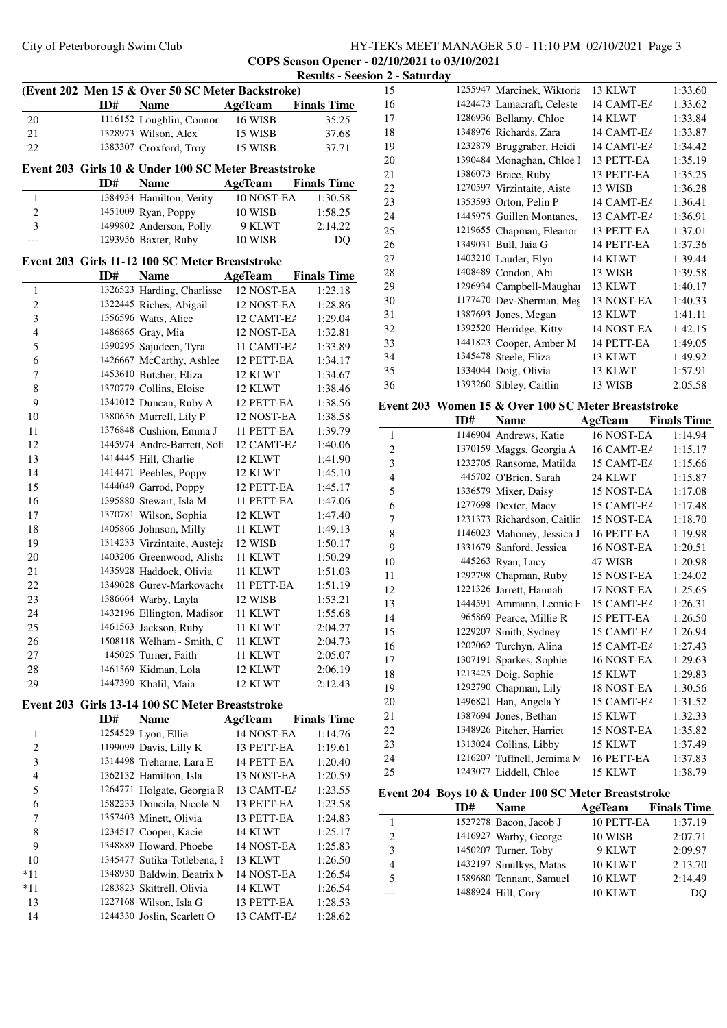# City of Peterborough Swim Club HY-TEK's MEET MANAGER 5.0 - 11:10 PM 02/10/2021 Page 3 **COPS Season Opener - 02/10/2021 to 03/10/2021**

|                |     |                                                      |                | <b>Results - See</b> |
|----------------|-----|------------------------------------------------------|----------------|----------------------|
|                |     | (Event 202 Men 15 & Over 50 SC Meter Backstroke)     |                |                      |
|                | ID# | <b>Name</b>                                          | <b>AgeTeam</b> | <b>Finals Time</b>   |
| 20             |     | 1116152 Loughlin, Connor                             | 16 WISB        | 35.25                |
| 21             |     | 1328973 Wilson, Alex                                 | 15 WISB        | 37.68                |
| 22             |     | 1383307 Croxford, Troy                               | 15 WISB        | 37.71                |
|                |     | Event 203 Girls 10 & Under 100 SC Meter Breaststroke |                |                      |
|                | ID# | <b>Name</b>                                          | <b>AgeTeam</b> | <b>Finals Time</b>   |
| 1              |     | 1384934 Hamilton, Verity                             | 10 NOST-EA     | 1:30.58              |
| $\overline{c}$ |     | 1451009 Ryan, Poppy                                  | 10 WISB        | 1:58.25              |
| 3              |     | 1499802 Anderson, Polly                              | 9 KLWT         | 2:14.22              |
|                |     | 1293956 Baxter, Ruby                                 | 10 WISB        | DQ                   |
|                |     |                                                      |                |                      |
|                |     | Event 203 Girls 11-12 100 SC Meter Breaststroke      |                |                      |
|                | ID# | <b>Name</b>                                          | <b>AgeTeam</b> | <b>Finals Time</b>   |
| 1              |     | 1326523 Harding, Charlisse                           | 12 NOST-EA     | 1:23.18              |
| $\overline{c}$ |     | 1322445 Riches, Abigail                              | 12 NOST-EA     | 1:28.86              |
| 3              |     | 1356596 Watts, Alice                                 | 12 CAMT-E/     | 1:29.04              |
| $\overline{4}$ |     | 1486865 Gray, Mia                                    | 12 NOST-EA     | 1:32.81              |
| 5              |     | 1390295 Sajudeen, Tyra                               | 11 CAMT-E/     | 1:33.89              |
| 6              |     | 1426667 McCarthy, Ashlee                             | 12 PETT-EA     | 1:34.17              |
| 7              |     | 1453610 Butcher, Eliza                               | 12 KLWT        | 1:34.67              |
| 8              |     | 1370779 Collins, Eloise                              | 12 KLWT        | 1:38.46              |
| 9              |     | 1341012 Duncan, Ruby A                               | 12 PETT-EA     | 1:38.56              |
| 10             |     | 1380656 Murrell, Lily P                              | 12 NOST-EA     | 1:38.58              |
| 11             |     | 1376848 Cushion, Emma J                              | 11 PETT-EA     | 1:39.79              |
| 12             |     | 1445974 Andre-Barrett, Sofi                          | 12 CAMT-E/     | 1:40.06              |
| 13             |     | 1414445 Hill, Charlie                                | 12 KLWT        | 1:41.90              |
| 14             |     | 1414471 Peebles, Poppy                               | 12 KLWT        | 1:45.10              |
| 15             |     | 1444049 Garrod, Poppy                                | 12 PETT-EA     | 1:45.17              |
| 16             |     | 1395880 Stewart, Isla M                              | 11 PETT-EA     | 1:47.06              |
| 17             |     | 1370781 Wilson, Sophia                               | 12 KLWT        | 1:47.40              |
| 18             |     | 1405866 Johnson, Milly                               | 11 KLWT        | 1:49.13              |
| 19             |     | 1314233 Virzintaite, Austeja                         | 12 WISB        | 1:50.17              |
| 20             |     | 1403206 Greenwood, Alisha                            | 11 KLWT        | 1:50.29              |
| 21             |     | 1435928 Haddock, Olivia                              | 11 KLWT        | 1:51.03              |
| 22             |     | 1349028 Gurev-Markovache                             | 11 PETT-EA     | 1:51.19              |
| 23             |     | 1386664 Warby, Layla                                 | 12 WISB        | 1:53.21              |
| 24             |     | 1432196 Ellington, Madison                           | 11 KLWT        | 1:55.68              |
| 25             |     | 1461563 Jackson, Ruby                                | 11 KLWT        | 2:04.27              |
| 26             |     | 1508118 Welham - Smith, C                            | 11 KLWT        | 2:04.73              |
| 27             |     | 145025 Turner, Faith                                 | 11 KLWT        | 2:05.07              |
| 28             |     | 1461569 Kidman, Lola                                 | 12 KLWT        | 2:06.19              |
| 29             |     | 1447390 Khalil, Maia                                 | 12 KLWT        | 2:12.43              |
|                |     |                                                      |                |                      |
|                |     | Event 203 Girls 13-14 100 SC Meter Breaststroke      |                |                      |
|                | ID# | <b>Name</b>                                          | AgeTeam        | <b>Finals Time</b>   |
| 1              |     | 1254529 Lyon, Ellie                                  | 14 NOST-EA     | 1:14.76              |
| $\overline{c}$ |     | 1199099 Davis, Lilly K                               | 13 PETT-EA     | 1:19.61              |
| 3              |     | 1314498 Treharne, Lara E                             | 14 PETT-EA     | 1:20.40              |
| 4              |     | 1362132 Hamilton, Isla                               | 13 NOST-EA     | 1:20.59              |
| 5              |     | 1264771 Holgate, Georgia R                           | 13 CAMT-E/     | 1:23.55              |
| 6              |     | 1582233 Doncila, Nicole N                            | 13 PETT-EA     | 1:23.58              |
| 7              |     | 1357403 Minett, Olivia                               | 13 PETT-EA     | 1:24.83              |
| 8              |     | 1234517 Cooper, Kacie                                | 14 KLWT        | 1:25.17              |
| 9              |     | 1348889 Howard, Phoebe                               | 14 NOST-EA     | 1:25.83              |
| 10             |     | 1345477 Sutika-Totlebena, I                          | 13 KLWT        | 1:26.50              |
| $*11$          |     | 1348930 Baldwin, Beatrix M                           | 14 NOST-EA     | 1:26.54              |
| $*11$          |     | 1283823 Skittrell, Olivia                            | 14 KLWT        | 1:26.54              |
| 13             |     | 1227168 Wilson, Isla G                               | 13 PETT-EA     | 1:28.53              |
| 14             |     | 1244330 Joslin, Scarlett O                           | 13 CAMT-E/     | 1:28.62              |

| <b>Results - Seesion 2 - Saturday</b> |                          |                    |                                                     |                |                    |
|---------------------------------------|--------------------------|--------------------|-----------------------------------------------------|----------------|--------------------|
|                                       | 15                       |                    | 1255947 Marcinek, Wiktoria                          | 13 KLWT        | 1:33.60            |
| <b>Finals Time</b>                    | 16                       |                    | 1424473 Lamacraft, Celeste                          | 14 CAMT-E/     | 1:33.62            |
| 35.25                                 | 17                       |                    | 1286936 Bellamy, Chloe                              | 14 KLWT        | 1:33.84            |
|                                       | 18                       |                    | 1348976 Richards, Zara                              | 14 CAMT-E/     | 1:33.87            |
| 37.68                                 |                          |                    |                                                     | 14 CAMT-E/     |                    |
| 37.71                                 | 19                       |                    | 1232879 Bruggraber, Heidi                           |                | 1:34.42            |
| oke                                   | 20                       |                    | 1390484 Monaghan, Chloe l                           | 13 PETT-EA     | 1:35.19            |
|                                       | 21                       |                    | 1386073 Brace, Ruby                                 | 13 PETT-EA     | 1:35.25            |
| F <b>inals Time</b>                   | 22                       |                    | 1270597 Virzintaite, Aiste                          | 13 WISB        | 1:36.28            |
| 1:30.58                               | 23                       |                    | 1353593 Orton, Pelin P                              | 14 CAMT-E/     | 1:36.41            |
| 1:58.25                               | 24                       |                    | 1445975 Guillen Montanes,                           | 13 CAMT-E/     | 1:36.91            |
| 2:14.22                               | 25                       |                    | 1219655 Chapman, Eleanor                            | 13 PETT-EA     | 1:37.01            |
| DQ                                    | 26                       |                    | 1349031 Bull, Jaia G                                | 14 PETT-EA     | 1:37.36            |
|                                       | 27                       |                    | 1403210 Lauder, Elyn                                | 14 KLWT        | 1:39.44            |
|                                       | 28                       |                    | 1408489 Condon, Abi                                 | 13 WISB        | 1:39.58            |
| <b>Finals Time</b>                    | 29                       |                    | 1296934 Campbell-Maughai                            | 13 KLWT        | 1:40.17            |
| 1:23.18                               | 30                       |                    |                                                     |                |                    |
| 1:28.86                               |                          |                    | 1177470 Dev-Sherman, Meg                            | 13 NOST-EA     | 1:40.33            |
| 1:29.04                               | 31                       |                    | 1387693 Jones, Megan                                | 13 KLWT        | 1:41.11            |
| 1:32.81                               | 32                       |                    | 1392520 Herridge, Kitty                             | 14 NOST-EA     | 1:42.15            |
| 1:33.89                               | 33                       |                    | 1441823 Cooper, Amber M                             | 14 PETT-EA     | 1:49.05            |
| 1:34.17                               | 34                       |                    | 1345478 Steele, Eliza                               | 13 KLWT        | 1:49.92            |
| 1:34.67                               | 35                       |                    | 1334044 Doig, Olivia                                | 13 KLWT        | 1:57.91            |
| 1:38.46                               | 36                       |                    | 1393260 Sibley, Caitlin                             | 13 WISB        | 2:05.58            |
| 1:38.56                               |                          |                    |                                                     |                |                    |
|                                       |                          |                    | Event 203 Women 15 & Over 100 SC Meter Breaststroke |                |                    |
| 1:38.58                               |                          | ID#                | <b>Name</b>                                         | <b>AgeTeam</b> | <b>Finals Time</b> |
| 1:39.79                               | $\mathbf{1}$             |                    | 1146904 Andrews, Katie                              | 16 NOST-EA     | 1:14.94            |
| 1:40.06                               | $\overline{c}$           |                    | 1370159 Maggs, Georgia A                            | 16 CAMT-E/     | 1:15.17            |
| 1:41.90                               | 3                        |                    | 1232705 Ransome, Matilda                            | 15 CAMT-E/     | 1:15.66            |
| 1:45.10                               | $\overline{\mathcal{L}}$ |                    | 445702 O'Brien, Sarah                               | 24 KLWT        | 1:15.87            |
| 1:45.17                               | 5                        |                    | 1336579 Mixer, Daisy                                | 15 NOST-EA     | 1:17.08            |
| 1:47.06                               | 6                        |                    | 1277698 Dexter, Macy                                | 15 CAMT-E/     | 1:17.48            |
| 1:47.40                               | 7                        |                    | 1231373 Richardson, Caitlin                         | 15 NOST-EA     | 1:18.70            |
| 1:49.13                               | 8                        |                    | 1146023 Mahoney, Jessica J                          | 16 PETT-EA     |                    |
| 1:50.17                               |                          |                    |                                                     |                | 1:19.98            |
| 1:50.29                               | 9                        |                    | 1331679 Sanford, Jessica                            | 16 NOST-EA     | 1:20.51            |
| 1:51.03                               | 10                       |                    | 445263 Ryan, Lucy                                   | 47 WISB        | 1:20.98            |
| 1:51.19                               | 11                       |                    | 1292798 Chapman, Ruby                               | 15 NOST-EA     | 1:24.02            |
| 1:53.21                               | 12                       |                    | 1221326 Jarrett, Hannah                             | 17 NOST-EA     | 1:25.65            |
|                                       | 13                       |                    | 1444591 Ammann, Leonie F                            | 15 CAMT-E/     | 1:26.31            |
| 1:55.68                               | 14                       |                    | 965869 Pearce, Millie R                             | 15 PETT-EA     | 1:26.50            |
| 2:04.27                               | 15                       |                    | 1229207 Smith, Sydney                               | 15 CAMT-E/     | 1:26.94            |
| 2:04.73                               | 16                       |                    | 1202062 Turchyn, Alina                              | 15 CAMT-E/     | 1:27.43            |
| 2:05.07                               | 17                       |                    | 1307191 Sparkes, Sophie                             | 16 NOST-EA     | 1:29.63            |
| 2:06.19                               | 18                       |                    | 1213425 Doig, Sophie                                | 15 KLWT        | 1:29.83            |
| 2:12.43                               | 19                       |                    | 1292790 Chapman, Lily                               | 18 NOST-EA     | 1:30.56            |
|                                       | $20\,$                   |                    | 1496821 Han, Angela Y                               | 15 CAMT-E/     | 1:31.52            |
|                                       | 21                       |                    | 1387694 Jones, Bethan                               | 15 KLWT        | 1:32.33            |
| <b>Finals Time</b>                    | 22                       |                    | 1348926 Pitcher, Harriet                            | 15 NOST-EA     | 1:35.82            |
| 1:14.76                               |                          |                    | 1313024 Collins, Libby                              |                |                    |
| 1:19.61                               | 23                       |                    |                                                     | 15 KLWT        | 1:37.49            |
| 1:20.40                               | 24                       |                    | 1216207 Tuffnell, Jemima M                          | 16 PETT-EA     | 1:37.83            |
| 1:20.59                               | 25                       |                    | 1243077 Liddell, Chloe                              | 15 KLWT        | 1:38.79            |
| 1:23.55                               |                          |                    | Event 204 Boys 10 & Under 100 SC Meter Breaststroke |                |                    |
| 1:23.58                               |                          | ID#                | <b>Name</b>                                         | <b>AgeTeam</b> | <b>Finals Time</b> |
| 1:24.83                               |                          |                    |                                                     |                |                    |
| 1:25.17                               | $\mathbf{1}$             |                    | 1527278 Bacon, Jacob J                              | 10 PETT-EA     | 1:37.19            |
| 1:25.83                               | $\overline{c}$           |                    | 1416927 Warby, George                               | 10 WISB        | 2:07.71            |
| 1:26.50                               | 3                        |                    | 1450207 Turner, Toby                                | 9 KLWT         | 2:09.97            |
|                                       | 4                        |                    | 1432197 Smulkys, Matas                              | 10 KLWT        | 2:13.70            |
| 1:26.54                               | 5                        |                    | 1589680 Tennant, Samuel                             | 10 KLWT        | 2:14.49            |
| 1:26.54                               |                          |                    |                                                     |                |                    |
| 1:28.53                               |                          | 1488924 Hill, Cory |                                                     | 10 KLWT        | DQ                 |
|                                       |                          |                    |                                                     |                |                    |
| 1:28.62                               |                          |                    |                                                     |                |                    |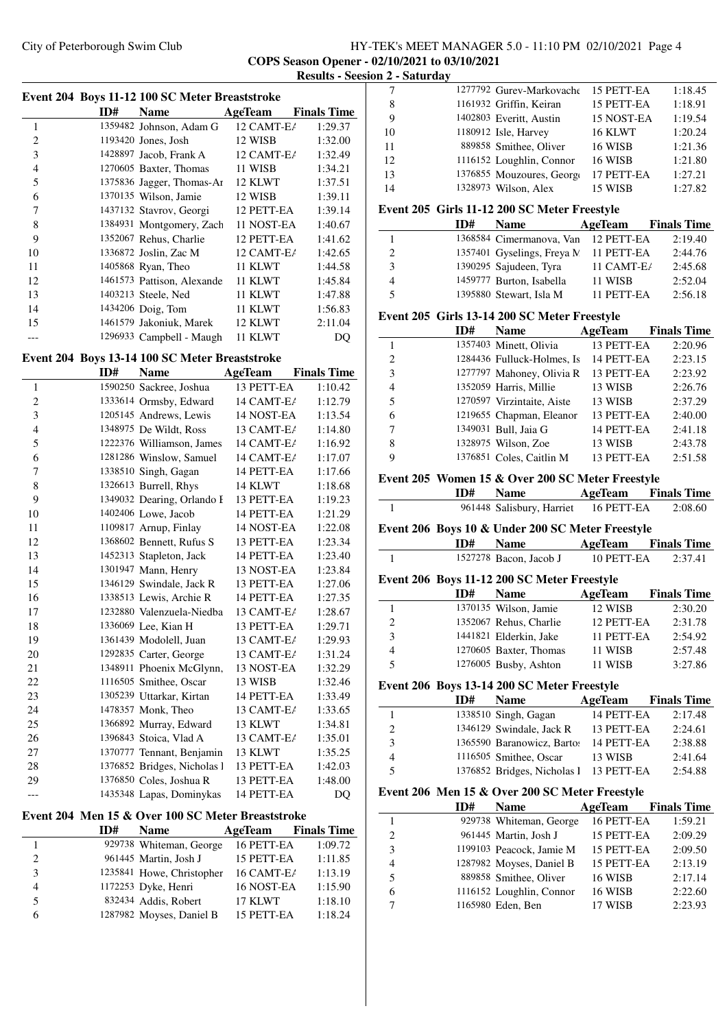#### City of Peterborough Swim Club HY-TEK's MEET MANAGER 5.0 - 11:10 PM 02/10/2021 Page 4 **COPS Season Opener - 02/10/2021 to 03/10/2021 Results - Seesion 2 - Saturday**

÷

 $\overline{\phantom{a}}$ 

|                | Event 204 Boys 11-12 100 SC Meter Breaststroke |                            |                    |                    |
|----------------|------------------------------------------------|----------------------------|--------------------|--------------------|
|                | ID#                                            | <b>Name</b>                | AgeTeam            | <b>Finals Time</b> |
| 1              |                                                | 1359482 Johnson, Adam G    | 12 CAMT-E/         | 1:29.37            |
| $\overline{c}$ |                                                | 1193420 Jones, Josh        | 12 WISB            | 1:32.00            |
| 3              |                                                | 1428897 Jacob, Frank A     | $12$ CAMT-E $\ell$ | 1:32.49            |
| $\overline{4}$ |                                                | 1270605 Baxter, Thomas     | 11 WISB            | 1:34.21            |
| 5              |                                                | 1375836 Jagger, Thomas-Ar  | 12 KLWT            | 1:37.51            |
| 6              |                                                | 1370135 Wilson, Jamie      | 12 WISB            | 1:39.11            |
| 7              |                                                | 1437132 Stavrov, Georgi    | 12 PETT-EA         | 1:39.14            |
| 8              |                                                | 1384931 Montgomery, Zach   | 11 NOST-EA         | 1:40.67            |
| 9              |                                                | 1352067 Rehus, Charlie     | 12 PETT-EA         | 1:41.62            |
| 10             |                                                | 1336872 Joslin, Zac M      | 12 CAMT-E/         | 1:42.65            |
| 11             |                                                | 1405868 Ryan, Theo         | 11 KLWT            | 1:44.58            |
| 12             |                                                | 1461573 Pattison, Alexande | 11 KLWT            | 1:45.84            |
| 13             |                                                | 1403213 Steele, Ned        | 11 KLWT            | 1:47.88            |
| 14             |                                                | 1434206 Doig, Tom          | 11 KLWT            | 1:56.83            |
| 15             |                                                | 1461579 Jakoniuk, Marek    | 12 KLWT            | 2:11.04            |
|                |                                                | 1296933 Campbell - Maugh   | 11 KLWT            | DQ                 |

### **Event 204 Boys 13-14 100 SC Meter Breaststroke**

|                | ID# | <b>Name</b>                 | AgeTeam    | <b>Finals Time</b> |
|----------------|-----|-----------------------------|------------|--------------------|
| 1              |     | 1590250 Sackree, Joshua     | 13 PETT-EA | 1:10.42            |
| $\overline{c}$ |     | 1333614 Ormsby, Edward      | 14 CAMT-E/ | 1:12.79            |
| 3              |     | 1205145 Andrews, Lewis      | 14 NOST-EA | 1:13.54            |
| $\overline{4}$ |     | 1348975 De Wildt, Ross      | 13 CAMT-E/ | 1:14.80            |
| 5              |     | 1222376 Williamson, James   | 14 CAMT-E/ | 1:16.92            |
| 6              |     | 1281286 Winslow, Samuel     | 14 CAMT-E/ | 1:17.07            |
| 7              |     | 1338510 Singh, Gagan        | 14 PETT-EA | 1:17.66            |
| 8              |     | 1326613 Burrell, Rhys       | 14 KLWT    | 1:18.68            |
| 9              |     | 1349032 Dearing, Orlando I  | 13 PETT-EA | 1:19.23            |
| 10             |     | 1402406 Lowe, Jacob         | 14 PETT-EA | 1:21.29            |
| 11             |     | 1109817 Arnup, Finlay       | 14 NOST-EA | 1:22.08            |
| 12             |     | 1368602 Bennett, Rufus S    | 13 PETT-EA | 1:23.34            |
| 13             |     | 1452313 Stapleton, Jack     | 14 PETT-EA | 1:23.40            |
| 14             |     | 1301947 Mann, Henry         | 13 NOST-EA | 1:23.84            |
| 15             |     | 1346129 Swindale, Jack R    | 13 PETT-EA | 1:27.06            |
| 16             |     | 1338513 Lewis, Archie R     | 14 PETT-EA | 1:27.35            |
| 17             |     | 1232880 Valenzuela-Niedba   | 13 CAMT-E/ | 1:28.67            |
| 18             |     | 1336069 Lee, Kian H         | 13 PETT-EA | 1:29.71            |
| 19             |     | 1361439 Modolell, Juan      | 13 CAMT-E/ | 1:29.93            |
| 20             |     | 1292835 Carter, George      | 13 CAMT-E/ | 1:31.24            |
| 21             |     | 1348911 Phoenix McGlynn,    | 13 NOST-EA | 1:32.29            |
| 22             |     | 1116505 Smithee, Oscar      | 13 WISB    | 1:32.46            |
| 23             |     | 1305239 Uttarkar, Kirtan    | 14 PETT-EA | 1:33.49            |
| 24             |     | 1478357 Monk, Theo          | 13 CAMT-E/ | 1:33.65            |
| 25             |     | 1366892 Murray, Edward      | 13 KLWT    | 1:34.81            |
| 26             |     | 1396843 Stoica, Vlad A      | 13 CAMT-E/ | 1:35.01            |
| 27             |     | 1370777 Tennant, Benjamin   | 13 KLWT    | 1:35.25            |
| 28             |     | 1376852 Bridges, Nicholas l | 13 PETT-EA | 1:42.03            |
| 29             |     | 1376850 Coles, Joshua R     | 13 PETT-EA | 1:48.00            |
| ---            |     | 1435348 Lapas, Dominykas    | 14 PETT-EA | DQ                 |
|                |     |                             |            |                    |

### **Event 204 Men 15 & Over 100 SC Meter Breaststroke**

| ID#<br><b>Name</b>             | AgeTeam    | <b>Finals Time</b> |
|--------------------------------|------------|--------------------|
| 929738 Whiteman, George        | 16 PETT-EA | 1:09.72            |
| 961445 Martin, Josh J<br>2     | 15 PETT-EA | 1:11.85            |
| 1235841 Howe, Christopher<br>3 | 16 CAMT-E/ | 1:13.19            |
| 1172253 Dyke, Henri<br>4       | 16 NOST-EA | 1:15.90            |
| 832434 Addis, Robert<br>5      | 17 KLWT    | 1:18.10            |
| 1287982 Moyses, Daniel B<br>6  | 15 PETT-EA | 1:18.24            |

| 7               | 1277792 Gurev-Markovache  | 15 PETT-EA | 1:18.45 |
|-----------------|---------------------------|------------|---------|
|                 |                           |            |         |
| 8               | 1161932 Griffin, Keiran   | 15 PETT-EA | 1:18.91 |
| 9               | 1402803 Everitt, Austin   | 15 NOST-EA | 1:19.54 |
| 10              | 1180912 Isle, Harvey      | 16 KLWT    | 1:20.24 |
| 11              | 889858 Smithee, Oliver    | 16 WISB    | 1:21.36 |
| 12 <sub>2</sub> | 1116152 Loughlin, Connor  | 16 WISB    | 1:21.80 |
| 13              | 1376855 Mouzoures, George | 17 PETT-EA | 1:27.21 |
| 14              | 1328973 Wilson, Alex      | 15 WISB    | 1:27.82 |
|                 |                           |            |         |

#### **Event 205 Girls 11-12 200 SC Meter Freestyle**

|                | ID# | <b>Name</b>                | AgeTeam    | <b>Finals Time</b> |
|----------------|-----|----------------------------|------------|--------------------|
|                |     | 1368584 Cimermanova, Van   | 12 PETT-EA | 2:19.40            |
|                |     | 1357401 Gyselings, Freya N | 11 PETT-EA | 2:44.76            |
| $\mathcal{R}$  |     | 1390295 Sajudeen, Tyra     | 11 CAMT-E/ | 2:45.68            |
| $\overline{4}$ |     | 1459777 Burton, Isabella   | 11 WISB    | 2:52.04            |
| -5             |     | 1395880 Stewart, Isla M    | 11 PETT-EA | 2:56.18            |

#### **Event 205 Girls 13-14 200 SC Meter Freestyle**

|                | ID# | <b>Name</b>                | AgeTeam    | <b>Finals Time</b> |
|----------------|-----|----------------------------|------------|--------------------|
|                |     | 1357403 Minett, Olivia     | 13 PETT-EA | 2:20.96            |
| $\overline{2}$ |     | 1284436 Fulluck-Holmes, Is | 14 PETT-EA | 2:23.15            |
| $\mathcal{F}$  |     | 1277797 Mahoney, Olivia R  | 13 PETT-EA | 2:23.92            |
| $\overline{4}$ |     | 1352059 Harris, Millie     | 13 WISB    | 2:26.76            |
| -5             |     | 1270597 Virzintaite, Aiste | 13 WISB    | 2:37.29            |
| -6             |     | 1219655 Chapman, Eleanor   | 13 PETT-EA | 2:40.00            |
| $\tau$         |     | 1349031 Bull, Jaia G       | 14 PETT-EA | 2:41.18            |
| 8              |     | 1328975 Wilson, Zoe        | 13 WISB    | 2:43.78            |
| 9              |     | 1376851 Coles, Caitlin M   | 13 PETT-EA | 2:51.58            |

#### **Event 205 Women 15 & Over 200 SC Meter Freestyle**

#### **ID# Name Age Team Finals Time**

961448 Salisbury, Harriet 16 PETT-EA 2:08.60

#### **Event 206 Boys 10 & Under 200 SC Meter Freestyle**

|                                             | ID# | Name                                           | AgeTeam    | <b>Finals Time</b> |  |
|---------------------------------------------|-----|------------------------------------------------|------------|--------------------|--|
| 1                                           |     | 1527278 Bacon, Jacob J                         | 10 PETT-EA | 2:37.41            |  |
|                                             |     | Event 206 Boys 11-12 200 SC Meter Freestyle    |            |                    |  |
|                                             | ID# | <b>Name</b>                                    | AgeTeam    | <b>Finals Time</b> |  |
| 1                                           |     | 1370135 Wilson, Jamie                          | 12 WISB    | 2:30.20            |  |
| $\overline{2}$                              |     | 1352067 Rehus, Charlie                         | 12 PETT-EA | 2:31.78            |  |
| 3                                           |     | 1441821 Elderkin, Jake                         | 11 PETT-EA | 2:54.92            |  |
| 4                                           |     | 1270605 Baxter, Thomas                         | 11 WISB    | 2:57.48            |  |
| 5                                           |     | 1276005 Busby, Ashton                          | 11 WISB    | 3:27.86            |  |
| Event 206 Boys 13-14 200 SC Meter Freestyle |     |                                                |            |                    |  |
|                                             | ID# | <b>Name</b>                                    | AgeTeam    | <b>Finals Time</b> |  |
| 1                                           |     | 1338510 Singh, Gagan                           | 14 PETT-EA | 2:17.48            |  |
| $\overline{c}$                              |     | 1346129 Swindale, Jack R                       | 13 PETT-EA | 2:24.61            |  |
| 3                                           |     | 1365590 Baranowicz, Barto: 14 PETT-EA          |            | 2:38.88            |  |
| $\overline{4}$                              |     | 1116505 Smithee, Oscar                         | 13 WISB    | 2:41.64            |  |
| 5                                           |     | 1376852 Bridges, Nicholas 1 13 PETT-EA         |            | 2:54.88            |  |
|                                             |     | Event 206 Men 15 & Over 200 SC Meter Freestyle |            |                    |  |

|   | ID# | <b>Name</b>              | AgeTeam    | <b>Finals Time</b> |
|---|-----|--------------------------|------------|--------------------|
|   |     | 929738 Whiteman, George  | 16 PETT-EA | 1:59.21            |
| 2 |     | 961445 Martin, Josh J    | 15 PETT-EA | 2:09.29            |
| 3 |     | 1199103 Peacock, Jamie M | 15 PETT-EA | 2:09.50            |
| 4 |     | 1287982 Moyses, Daniel B | 15 PETT-EA | 2:13.19            |
| 5 |     | 889858 Smithee, Oliver   | 16 WISB    | 2:17.14            |
| 6 |     | 1116152 Loughlin, Connor | 16 WISB    | 2:22.60            |
|   |     | 1165980 Eden, Ben        | 17 WISB    | 2:23.93            |
|   |     |                          |            |                    |